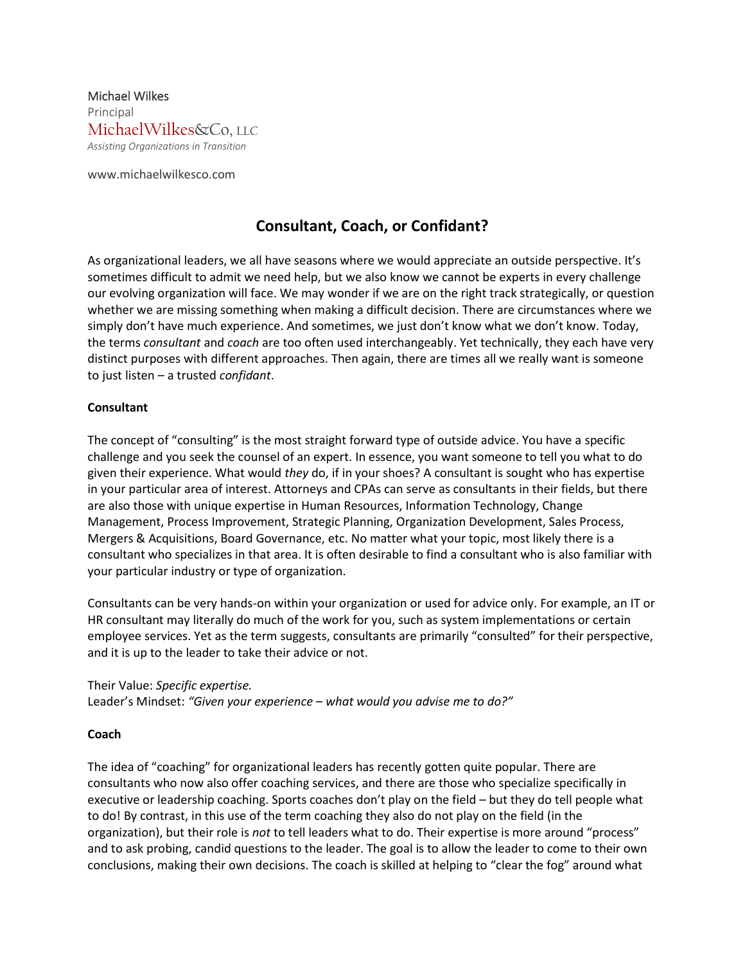Michael Wilkes Principal MichaelWilkes&Co, LLC *Assisting Organizations in Transition*

www.michaelwilkesco.com

# **Consultant, Coach, or Confidant?**

As organizational leaders, we all have seasons where we would appreciate an outside perspective. It's sometimes difficult to admit we need help, but we also know we cannot be experts in every challenge our evolving organization will face. We may wonder if we are on the right track strategically, or question whether we are missing something when making a difficult decision. There are circumstances where we simply don't have much experience. And sometimes, we just don't know what we don't know. Today, the terms *consultant* and *coach* are too often used interchangeably. Yet technically, they each have very distinct purposes with different approaches. Then again, there are times all we really want is someone to just listen – a trusted *confidant*.

### **Consultant**

The concept of "consulting" is the most straight forward type of outside advice. You have a specific challenge and you seek the counsel of an expert. In essence, you want someone to tell you what to do given their experience. What would *they* do, if in your shoes? A consultant is sought who has expertise in your particular area of interest. Attorneys and CPAs can serve as consultants in their fields, but there are also those with unique expertise in Human Resources, Information Technology, Change Management, Process Improvement, Strategic Planning, Organization Development, Sales Process, Mergers & Acquisitions, Board Governance, etc. No matter what your topic, most likely there is a consultant who specializes in that area. It is often desirable to find a consultant who is also familiar with your particular industry or type of organization.

Consultants can be very hands-on within your organization or used for advice only. For example, an IT or HR consultant may literally do much of the work for you, such as system implementations or certain employee services. Yet as the term suggests, consultants are primarily "consulted" for their perspective, and it is up to the leader to take their advice or not.

#### Their Value: *Specific expertise.*

Leader's Mindset: *"Given your experience – what would you advise me to do?"*

#### **Coach**

The idea of "coaching" for organizational leaders has recently gotten quite popular. There are consultants who now also offer coaching services, and there are those who specialize specifically in executive or leadership coaching. Sports coaches don't play on the field – but they do tell people what to do! By contrast, in this use of the term coaching they also do not play on the field (in the organization), but their role is *not* to tell leaders what to do. Their expertise is more around "process" and to ask probing, candid questions to the leader. The goal is to allow the leader to come to their own conclusions, making their own decisions. The coach is skilled at helping to "clear the fog" around what